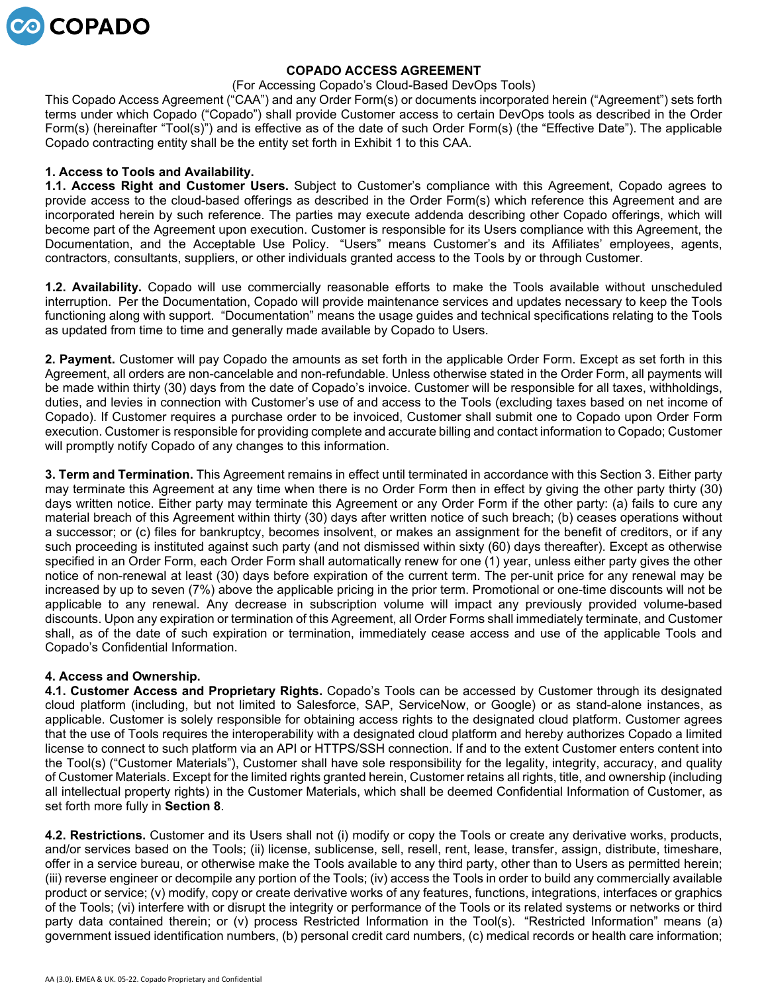

## **COPADO ACCESS AGREEMENT**

#### (For Accessing Copado's Cloud-Based DevOps Tools)

This Copado Access Agreement ("CAA") and any Order Form(s) or documents incorporated herein ("Agreement") sets forth terms under which Copado ("Copado") shall provide Customer access to certain DevOps tools as described in the Order Form(s) (hereinafter "Tool(s)") and is effective as of the date of such Order Form(s) (the "Effective Date"). The applicable Copado contracting entity shall be the entity set forth in Exhibit 1 to this CAA.

# **1. Access to Tools and Availability.**

**1.1. Access Right and Customer Users.** Subject to Customer's compliance with this Agreement, Copado agrees to provide access to the cloud-based offerings as described in the Order Form(s) which reference this Agreement and are incorporated herein by such reference. The parties may execute addenda describing other Copado offerings, which will become part of the Agreement upon execution. Customer is responsible for its Users compliance with this Agreement, the Documentation, and the Acceptable Use Policy. "Users" means Customer's and its Affiliates' employees, agents, contractors, consultants, suppliers, or other individuals granted access to the Tools by or through Customer.

**1.2. Availability.** Copado will use commercially reasonable efforts to make the Tools available without unscheduled interruption. Per the Documentation, Copado will provide maintenance services and updates necessary to keep the Tools functioning along with support. "Documentation" means the usage guides and technical specifications relating to the Tools as updated from time to time and generally made available by Copado to Users.

**2. Payment.** Customer will pay Copado the amounts as set forth in the applicable Order Form. Except as set forth in this Agreement, all orders are non-cancelable and non-refundable. Unless otherwise stated in the Order Form, all payments will be made within thirty (30) days from the date of Copado's invoice. Customer will be responsible for all taxes, withholdings, duties, and levies in connection with Customer's use of and access to the Tools (excluding taxes based on net income of Copado). If Customer requires a purchase order to be invoiced, Customer shall submit one to Copado upon Order Form execution. Customer is responsible for providing complete and accurate billing and contact information to Copado; Customer will promptly notify Copado of any changes to this information.

**3. Term and Termination.** This Agreement remains in effect until terminated in accordance with this Section 3. Either party may terminate this Agreement at any time when there is no Order Form then in effect by giving the other party thirty (30) days written notice. Either party may terminate this Agreement or any Order Form if the other party: (a) fails to cure any material breach of this Agreement within thirty (30) days after written notice of such breach; (b) ceases operations without a successor; or (c) files for bankruptcy, becomes insolvent, or makes an assignment for the benefit of creditors, or if any such proceeding is instituted against such party (and not dismissed within sixty (60) days thereafter). Except as otherwise specified in an Order Form, each Order Form shall automatically renew for one (1) year, unless either party gives the other notice of non-renewal at least (30) days before expiration of the current term. The per-unit price for any renewal may be increased by up to seven (7%) above the applicable pricing in the prior term. Promotional or one-time discounts will not be applicable to any renewal. Any decrease in subscription volume will impact any previously provided volume-based discounts. Upon any expiration or termination of this Agreement, all Order Forms shall immediately terminate, and Customer shall, as of the date of such expiration or termination, immediately cease access and use of the applicable Tools and Copado's Confidential Information.

## **4. Access and Ownership.**

**4.1. Customer Access and Proprietary Rights.** Copado's Tools can be accessed by Customer through its designated cloud platform (including, but not limited to Salesforce, SAP, ServiceNow, or Google) or as stand-alone instances, as applicable. Customer is solely responsible for obtaining access rights to the designated cloud platform. Customer agrees that the use of Tools requires the interoperability with a designated cloud platform and hereby authorizes Copado a limited license to connect to such platform via an API or HTTPS/SSH connection. If and to the extent Customer enters content into the Tool(s) ("Customer Materials"), Customer shall have sole responsibility for the legality, integrity, accuracy, and quality of Customer Materials. Except for the limited rights granted herein, Customer retains all rights, title, and ownership (including all intellectual property rights) in the Customer Materials, which shall be deemed Confidential Information of Customer, as set forth more fully in **Section 8**.

**4.2. Restrictions.** Customer and its Users shall not (i) modify or copy the Tools or create any derivative works, products, and/or services based on the Tools; (ii) license, sublicense, sell, resell, rent, lease, transfer, assign, distribute, timeshare, offer in a service bureau, or otherwise make the Tools available to any third party, other than to Users as permitted herein; (iii) reverse engineer or decompile any portion of the Tools; (iv) access the Tools in order to build any commercially available product or service; (v) modify, copy or create derivative works of any features, functions, integrations, interfaces or graphics of the Tools; (vi) interfere with or disrupt the integrity or performance of the Tools or its related systems or networks or third party data contained therein; or (v) process Restricted Information in the Tool(s). "Restricted Information" means (a) government issued identification numbers, (b) personal credit card numbers, (c) medical records or health care information;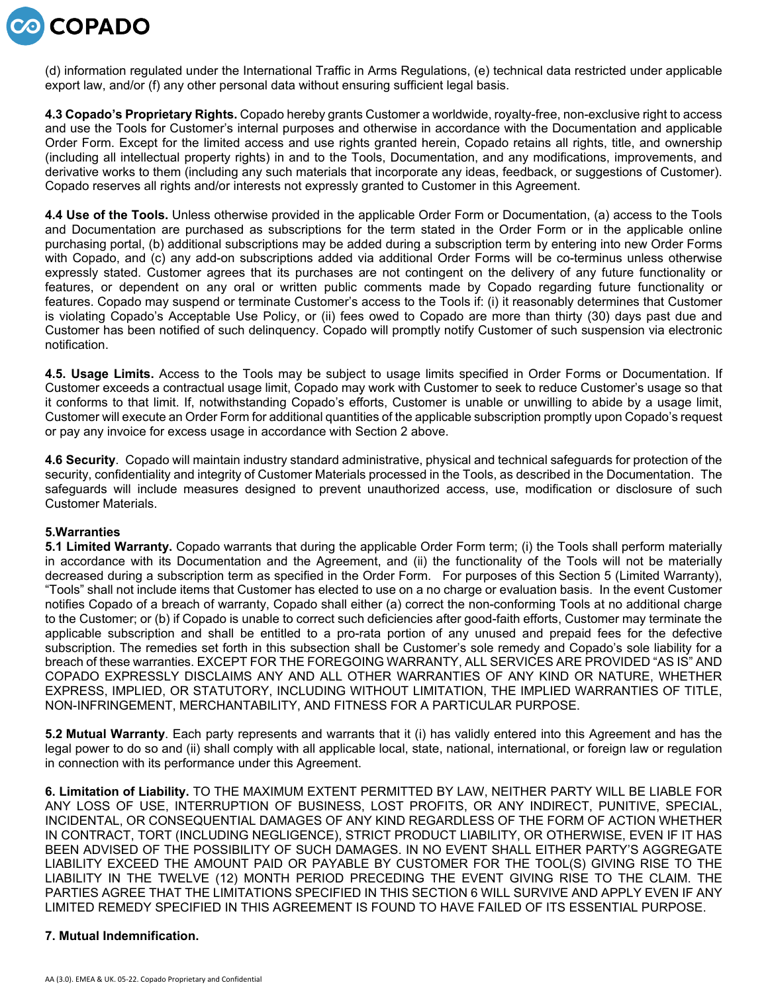

(d) information regulated under the International Traffic in Arms Regulations, (e) technical data restricted under applicable export law, and/or (f) any other personal data without ensuring sufficient legal basis.

**4.3 Copado's Proprietary Rights.** Copado hereby grants Customer a worldwide, royalty-free, non-exclusive right to access and use the Tools for Customer's internal purposes and otherwise in accordance with the Documentation and applicable Order Form. Except for the limited access and use rights granted herein, Copado retains all rights, title, and ownership (including all intellectual property rights) in and to the Tools, Documentation, and any modifications, improvements, and derivative works to them (including any such materials that incorporate any ideas, feedback, or suggestions of Customer). Copado reserves all rights and/or interests not expressly granted to Customer in this Agreement.

**4.4 Use of the Tools.** Unless otherwise provided in the applicable Order Form or Documentation, (a) access to the Tools and Documentation are purchased as subscriptions for the term stated in the Order Form or in the applicable online purchasing portal, (b) additional subscriptions may be added during a subscription term by entering into new Order Forms with Copado, and (c) any add-on subscriptions added via additional Order Forms will be co-terminus unless otherwise expressly stated. Customer agrees that its purchases are not contingent on the delivery of any future functionality or features, or dependent on any oral or written public comments made by Copado regarding future functionality or features. Copado may suspend or terminate Customer's access to the Tools if: (i) it reasonably determines that Customer is violating Copado's Acceptable Use Policy, or (ii) fees owed to Copado are more than thirty (30) days past due and Customer has been notified of such delinquency. Copado will promptly notify Customer of such suspension via electronic notification.

**4.5. Usage Limits.** Access to the Tools may be subject to usage limits specified in Order Forms or Documentation. If Customer exceeds a contractual usage limit, Copado may work with Customer to seek to reduce Customer's usage so that it conforms to that limit. If, notwithstanding Copado's efforts, Customer is unable or unwilling to abide by a usage limit, Customer will execute an Order Form for additional quantities of the applicable subscription promptly upon Copado's request or pay any invoice for excess usage in accordance with Section 2 above.

**4.6 Security**. Copado will maintain industry standard administrative, physical and technical safeguards for protection of the security, confidentiality and integrity of Customer Materials processed in the Tools, as described in the Documentation. The safeguards will include measures designed to prevent unauthorized access, use, modification or disclosure of such Customer Materials.

## **5.Warranties**

**5.1 Limited Warranty.** Copado warrants that during the applicable Order Form term; (i) the Tools shall perform materially in accordance with its Documentation and the Agreement, and (ii) the functionality of the Tools will not be materially decreased during a subscription term as specified in the Order Form. For purposes of this Section 5 (Limited Warranty), "Tools" shall not include items that Customer has elected to use on a no charge or evaluation basis. In the event Customer notifies Copado of a breach of warranty, Copado shall either (a) correct the non-conforming Tools at no additional charge to the Customer; or (b) if Copado is unable to correct such deficiencies after good-faith efforts, Customer may terminate the applicable subscription and shall be entitled to a pro-rata portion of any unused and prepaid fees for the defective subscription. The remedies set forth in this subsection shall be Customer's sole remedy and Copado's sole liability for a breach of these warranties. EXCEPT FOR THE FOREGOING WARRANTY, ALL SERVICES ARE PROVIDED "AS IS" AND COPADO EXPRESSLY DISCLAIMS ANY AND ALL OTHER WARRANTIES OF ANY KIND OR NATURE, WHETHER EXPRESS, IMPLIED, OR STATUTORY, INCLUDING WITHOUT LIMITATION, THE IMPLIED WARRANTIES OF TITLE, NON-INFRINGEMENT, MERCHANTABILITY, AND FITNESS FOR A PARTICULAR PURPOSE.

**5.2 Mutual Warranty**. Each party represents and warrants that it (i) has validly entered into this Agreement and has the legal power to do so and (ii) shall comply with all applicable local, state, national, international, or foreign law or regulation in connection with its performance under this Agreement.

**6. Limitation of Liability.** TO THE MAXIMUM EXTENT PERMITTED BY LAW, NEITHER PARTY WILL BE LIABLE FOR ANY LOSS OF USE, INTERRUPTION OF BUSINESS, LOST PROFITS, OR ANY INDIRECT, PUNITIVE, SPECIAL, INCIDENTAL, OR CONSEQUENTIAL DAMAGES OF ANY KIND REGARDLESS OF THE FORM OF ACTION WHETHER IN CONTRACT, TORT (INCLUDING NEGLIGENCE), STRICT PRODUCT LIABILITY, OR OTHERWISE, EVEN IF IT HAS BEEN ADVISED OF THE POSSIBILITY OF SUCH DAMAGES. IN NO EVENT SHALL EITHER PARTY'S AGGREGATE LIABILITY EXCEED THE AMOUNT PAID OR PAYABLE BY CUSTOMER FOR THE TOOL(S) GIVING RISE TO THE LIABILITY IN THE TWELVE (12) MONTH PERIOD PRECEDING THE EVENT GIVING RISE TO THE CLAIM. THE PARTIES AGREE THAT THE LIMITATIONS SPECIFIED IN THIS SECTION 6 WILL SURVIVE AND APPLY EVEN IF ANY LIMITED REMEDY SPECIFIED IN THIS AGREEMENT IS FOUND TO HAVE FAILED OF ITS ESSENTIAL PURPOSE.

## **7. Mutual Indemnification.**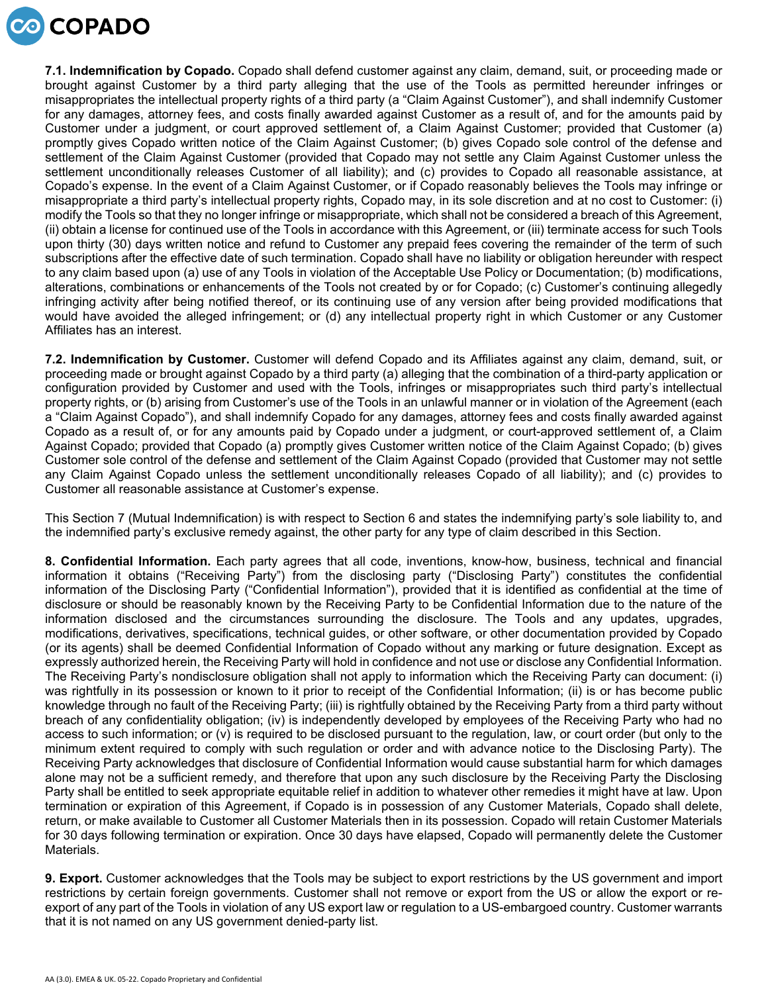

**7.1. Indemnification by Copado.** Copado shall defend customer against any claim, demand, suit, or proceeding made or brought against Customer by a third party alleging that the use of the Tools as permitted hereunder infringes or misappropriates the intellectual property rights of a third party (a "Claim Against Customer"), and shall indemnify Customer for any damages, attorney fees, and costs finally awarded against Customer as a result of, and for the amounts paid by Customer under a judgment, or court approved settlement of, a Claim Against Customer; provided that Customer (a) promptly gives Copado written notice of the Claim Against Customer; (b) gives Copado sole control of the defense and settlement of the Claim Against Customer (provided that Copado may not settle any Claim Against Customer unless the settlement unconditionally releases Customer of all liability); and (c) provides to Copado all reasonable assistance, at Copado's expense. In the event of a Claim Against Customer, or if Copado reasonably believes the Tools may infringe or misappropriate a third party's intellectual property rights, Copado may, in its sole discretion and at no cost to Customer: (i) modify the Tools so that they no longer infringe or misappropriate, which shall not be considered a breach of this Agreement, (ii) obtain a license for continued use of the Tools in accordance with this Agreement, or (iii) terminate access for such Tools upon thirty (30) days written notice and refund to Customer any prepaid fees covering the remainder of the term of such subscriptions after the effective date of such termination. Copado shall have no liability or obligation hereunder with respect to any claim based upon (a) use of any Tools in violation of the Acceptable Use Policy or Documentation; (b) modifications, alterations, combinations or enhancements of the Tools not created by or for Copado; (c) Customer's continuing allegedly infringing activity after being notified thereof, or its continuing use of any version after being provided modifications that would have avoided the alleged infringement; or (d) any intellectual property right in which Customer or any Customer Affiliates has an interest.

**7.2. Indemnification by Customer.** Customer will defend Copado and its Affiliates against any claim, demand, suit, or proceeding made or brought against Copado by a third party (a) alleging that the combination of a third-party application or configuration provided by Customer and used with the Tools, infringes or misappropriates such third party's intellectual property rights, or (b) arising from Customer's use of the Tools in an unlawful manner or in violation of the Agreement (each a "Claim Against Copado"), and shall indemnify Copado for any damages, attorney fees and costs finally awarded against Copado as a result of, or for any amounts paid by Copado under a judgment, or court-approved settlement of, a Claim Against Copado; provided that Copado (a) promptly gives Customer written notice of the Claim Against Copado; (b) gives Customer sole control of the defense and settlement of the Claim Against Copado (provided that Customer may not settle any Claim Against Copado unless the settlement unconditionally releases Copado of all liability); and (c) provides to Customer all reasonable assistance at Customer's expense.

This Section 7 (Mutual Indemnification) is with respect to Section 6 and states the indemnifying party's sole liability to, and the indemnified party's exclusive remedy against, the other party for any type of claim described in this Section.

**8. Confidential Information.** Each party agrees that all code, inventions, know-how, business, technical and financial information it obtains ("Receiving Party") from the disclosing party ("Disclosing Party") constitutes the confidential information of the Disclosing Party ("Confidential Information"), provided that it is identified as confidential at the time of disclosure or should be reasonably known by the Receiving Party to be Confidential Information due to the nature of the information disclosed and the circumstances surrounding the disclosure. The Tools and any updates, upgrades, modifications, derivatives, specifications, technical guides, or other software, or other documentation provided by Copado (or its agents) shall be deemed Confidential Information of Copado without any marking or future designation. Except as expressly authorized herein, the Receiving Party will hold in confidence and not use or disclose any Confidential Information. The Receiving Party's nondisclosure obligation shall not apply to information which the Receiving Party can document: (i) was rightfully in its possession or known to it prior to receipt of the Confidential Information; (ii) is or has become public knowledge through no fault of the Receiving Party; (iii) is rightfully obtained by the Receiving Party from a third party without breach of any confidentiality obligation; (iv) is independently developed by employees of the Receiving Party who had no access to such information; or (v) is required to be disclosed pursuant to the regulation, law, or court order (but only to the minimum extent required to comply with such regulation or order and with advance notice to the Disclosing Party). The Receiving Party acknowledges that disclosure of Confidential Information would cause substantial harm for which damages alone may not be a sufficient remedy, and therefore that upon any such disclosure by the Receiving Party the Disclosing Party shall be entitled to seek appropriate equitable relief in addition to whatever other remedies it might have at law. Upon termination or expiration of this Agreement, if Copado is in possession of any Customer Materials, Copado shall delete, return, or make available to Customer all Customer Materials then in its possession. Copado will retain Customer Materials for 30 days following termination or expiration. Once 30 days have elapsed, Copado will permanently delete the Customer Materials.

**9. Export.** Customer acknowledges that the Tools may be subject to export restrictions by the US government and import restrictions by certain foreign governments. Customer shall not remove or export from the US or allow the export or reexport of any part of the Tools in violation of any US export law or regulation to a US-embargoed country. Customer warrants that it is not named on any US government denied-party list.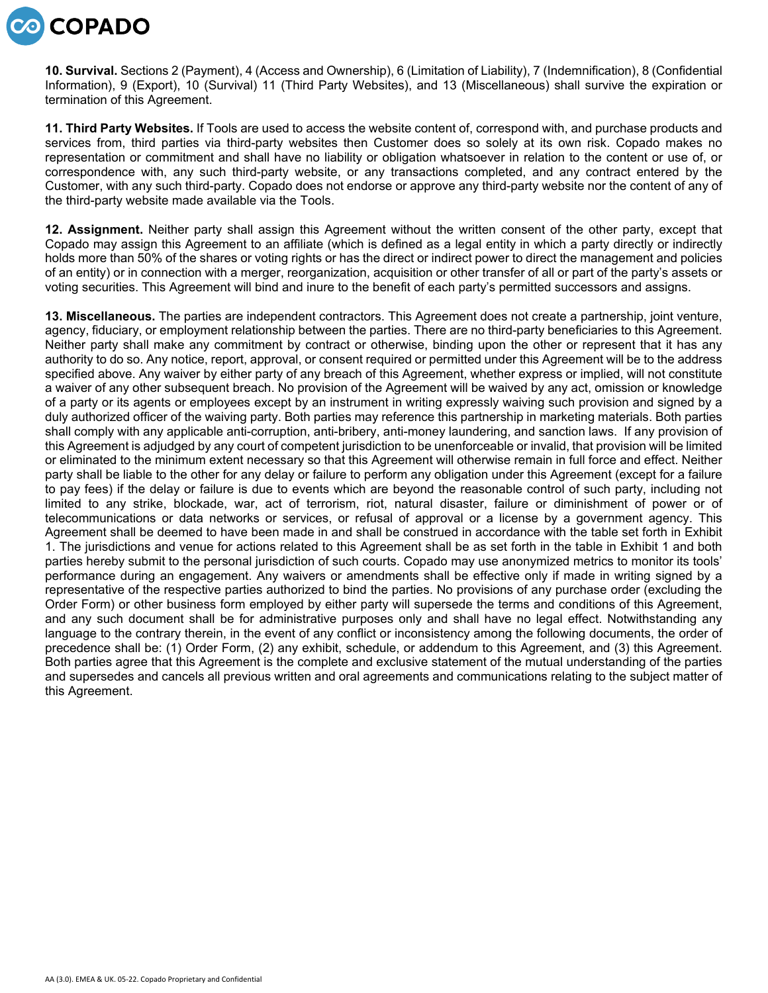

**10. Survival.** Sections 2 (Payment), 4 (Access and Ownership), 6 (Limitation of Liability), 7 (Indemnification), 8 (Confidential Information), 9 (Export), 10 (Survival) 11 (Third Party Websites), and 13 (Miscellaneous) shall survive the expiration or termination of this Agreement.

**11. Third Party Websites.** If Tools are used to access the website content of, correspond with, and purchase products and services from, third parties via third-party websites then Customer does so solely at its own risk. Copado makes no representation or commitment and shall have no liability or obligation whatsoever in relation to the content or use of, or correspondence with, any such third-party website, or any transactions completed, and any contract entered by the Customer, with any such third-party. Copado does not endorse or approve any third-party website nor the content of any of the third-party website made available via the Tools.

**12. Assignment.** Neither party shall assign this Agreement without the written consent of the other party, except that Copado may assign this Agreement to an affiliate (which is defined as a legal entity in which a party directly or indirectly holds more than 50% of the shares or voting rights or has the direct or indirect power to direct the management and policies of an entity) or in connection with a merger, reorganization, acquisition or other transfer of all or part of the party's assets or voting securities. This Agreement will bind and inure to the benefit of each party's permitted successors and assigns.

**13. Miscellaneous.** The parties are independent contractors. This Agreement does not create a partnership, joint venture, agency, fiduciary, or employment relationship between the parties. There are no third-party beneficiaries to this Agreement. Neither party shall make any commitment by contract or otherwise, binding upon the other or represent that it has any authority to do so. Any notice, report, approval, or consent required or permitted under this Agreement will be to the address specified above. Any waiver by either party of any breach of this Agreement, whether express or implied, will not constitute a waiver of any other subsequent breach. No provision of the Agreement will be waived by any act, omission or knowledge of a party or its agents or employees except by an instrument in writing expressly waiving such provision and signed by a duly authorized officer of the waiving party. Both parties may reference this partnership in marketing materials. Both parties shall comply with any applicable anti-corruption, anti-bribery, anti-money laundering, and sanction laws. If any provision of this Agreement is adjudged by any court of competent jurisdiction to be unenforceable or invalid, that provision will be limited or eliminated to the minimum extent necessary so that this Agreement will otherwise remain in full force and effect. Neither party shall be liable to the other for any delay or failure to perform any obligation under this Agreement (except for a failure to pay fees) if the delay or failure is due to events which are beyond the reasonable control of such party, including not limited to any strike, blockade, war, act of terrorism, riot, natural disaster, failure or diminishment of power or of telecommunications or data networks or services, or refusal of approval or a license by a government agency. This Agreement shall be deemed to have been made in and shall be construed in accordance with the table set forth in Exhibit 1. The jurisdictions and venue for actions related to this Agreement shall be as set forth in the table in Exhibit 1 and both parties hereby submit to the personal jurisdiction of such courts. Copado may use anonymized metrics to monitor its tools' performance during an engagement. Any waivers or amendments shall be effective only if made in writing signed by a representative of the respective parties authorized to bind the parties. No provisions of any purchase order (excluding the Order Form) or other business form employed by either party will supersede the terms and conditions of this Agreement, and any such document shall be for administrative purposes only and shall have no legal effect. Notwithstanding any language to the contrary therein, in the event of any conflict or inconsistency among the following documents, the order of precedence shall be: (1) Order Form, (2) any exhibit, schedule, or addendum to this Agreement, and (3) this Agreement. Both parties agree that this Agreement is the complete and exclusive statement of the mutual understanding of the parties and supersedes and cancels all previous written and oral agreements and communications relating to the subject matter of this Agreement.